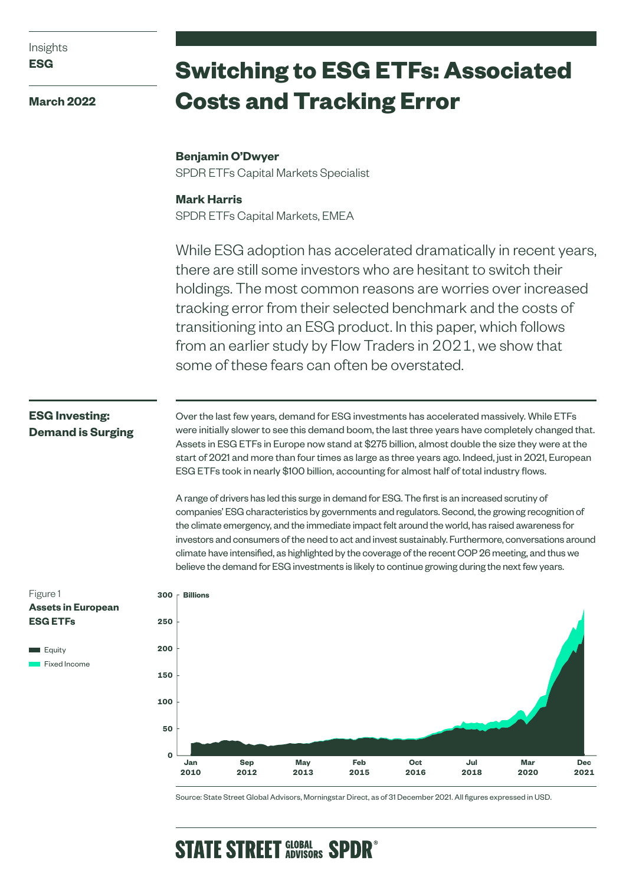| Insights |  |
|----------|--|
|          |  |

**March 2022**

# **Switching to ESG ETFs: Associated Costs and Tracking Error**

# **Benjamin O'Dwyer**

SPDR ETFs Capital Markets Specialist

## **Mark Harris**

SPDR ETFs Capital Markets, EMEA

While ESG adoption has accelerated dramatically in recent years, there are still some investors who are hesitant to switch their holdings. The most common reasons are worries over increased tracking error from their selected benchmark and the costs of transitioning into an ESG product. In this paper, which follows from an earlier study by Flow Traders in 2021, we show that some of these fears can often be overstated.

# **ESG Investing: Demand is Surging**

Over the last few years, demand for ESG investments has accelerated massively. While ETFs were initially slower to see this demand boom, the last three years have completely changed that. Assets in ESG ETFs in Europe now stand at \$275 billion, almost double the size they were at the start of 2021 and more than four times as large as three years ago. Indeed, just in 2021, European ESG ETFs took in nearly \$100 billion, accounting for almost half of total industry flows.

A range of drivers has led this surge in demand for ESG. The first is an increased scrutiny of companies' ESG characteristics by governments and regulators. Second, the growing recognition of the climate emergency, and the immediate impact felt around the world, has raised awareness for investors and consumers of the need to act and invest sustainably. Furthermore, conversations around climate have intensified, as highlighted by the coverage of the recent COP 26 meeting, and thus we believe the demand for ESG investments is likely to continue growing during the next few years.







Source: State Street Global Advisors, Morningstar Direct, as of 31 December 2021. All figures expressed in USD.

# **STATE STREET GLOBAL SPDR<sup>®</sup>**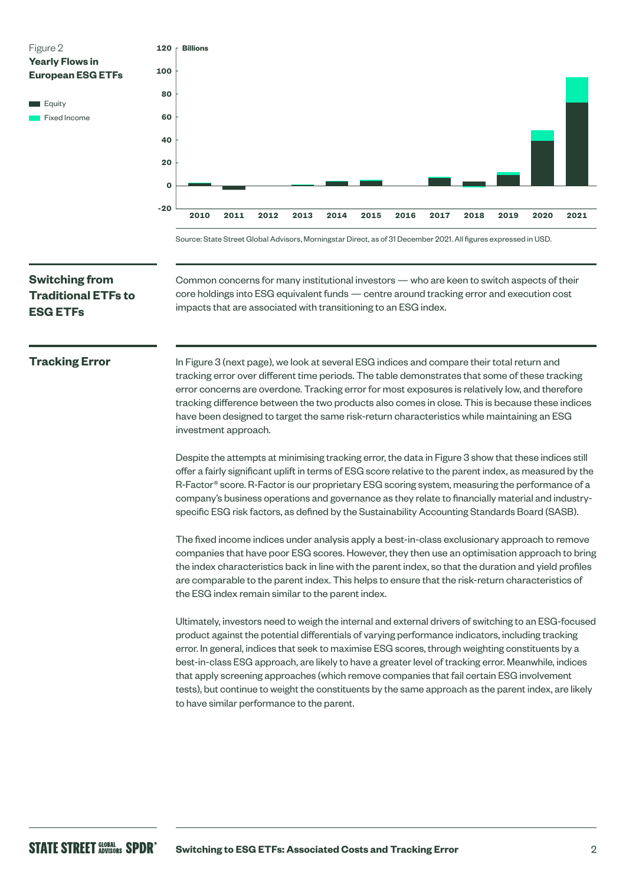

Source: State Street Global Advisors, Morningstar Direct, as of 31 December 2021. All figures expressed in USD.

# **Switching from Traditional ETFs to ESG ETFs**

Common concerns for many institutional investors — who are keen to switch aspects of their core holdings into ESG equivalent funds — centre around tracking error and execution cost impacts that are associated with transitioning to an ESG index.

### **Tracking Error**

In Figure 3 (next page), we look at several ESG indices and compare their total return and tracking error over different time periods. The table demonstrates that some of these tracking error concerns are overdone. Tracking error for most exposures is relatively low, and therefore tracking difference between the two products also comes in close. This is because these indices have been designed to target the same risk-return characteristics while maintaining an ESG investment approach.

Despite the attempts at minimising tracking error, the data in Figure 3 show that these indices still offer a fairly significant uplift in terms of ESG score relative to the parent index, as measured by the R-Factor® score. R-Factor is our proprietary ESG scoring system, measuring the performance of a company's business operations and governance as they relate to financially material and industryspecific ESG risk factors, as defined by the Sustainability Accounting Standards Board (SASB).

The fixed income indices under analysis apply a best-in-class exclusionary approach to remove companies that have poor ESG scores. However, they then use an optimisation approach to bring the index characteristics back in line with the parent index, so that the duration and yield profiles are comparable to the parent index. This helps to ensure that the risk-return characteristics of the ESG index remain similar to the parent index.

Ultimately, investors need to weigh the internal and external drivers of switching to an ESG-focused product against the potential differentials of varying performance indicators, including tracking error. In general, indices that seek to maximise ESG scores, through weighting constituents by a best-in-class ESG approach, are likely to have a greater level of tracking error. Meanwhile, indices that apply screening approaches (which remove companies that fail certain ESG involvement tests), but continue to weight the constituents by the same approach as the parent index, are likely to have similar performance to the parent.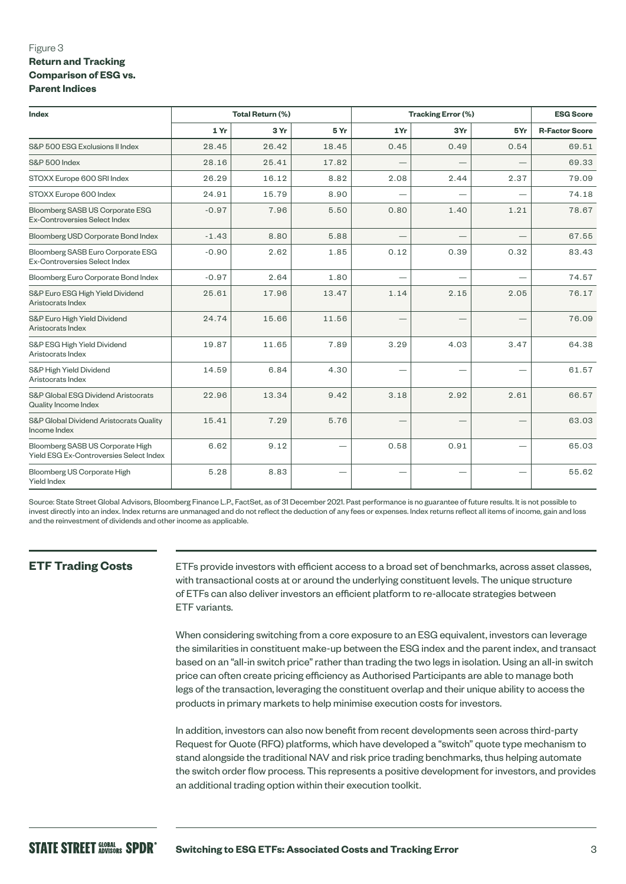### Figure 3 **Return and Tracking Comparison of ESG vs. Parent Indices**

| Index                                                                       |         | Total Return (%) |       | <b>Tracking Error (%)</b> |      |      | <b>ESG Score</b>      |  |
|-----------------------------------------------------------------------------|---------|------------------|-------|---------------------------|------|------|-----------------------|--|
|                                                                             | 1 Yr    | 3 Yr             | 5 Yr  | 1Yr                       | 3Yr  | 5Yr  | <b>R-Factor Score</b> |  |
| S&P 500 ESG Exclusions II Index                                             | 28.45   | 26.42            | 18.45 | 0.45                      | 0.49 | 0.54 | 69.51                 |  |
| S&P 500 Index                                                               | 28.16   | 25.41            | 17.82 |                           |      |      | 69.33                 |  |
| STOXX Europe 600 SRI Index                                                  | 26.29   | 16.12            | 8.82  | 2.08                      | 2.44 | 2.37 | 79.09                 |  |
| STOXX Europe 600 Index                                                      | 24.91   | 15.79            | 8.90  |                           |      |      | 74.18                 |  |
| Bloomberg SASB US Corporate ESG<br>Ex-Controversies Select Index            | $-0.97$ | 7.96             | 5.50  | 0.80                      | 1.40 | 1.21 | 78.67                 |  |
| Bloomberg USD Corporate Bond Index                                          | $-1.43$ | 8.80             | 5.88  |                           |      |      | 67.55                 |  |
| Bloomberg SASB Euro Corporate ESG<br>Ex-Controversies Select Index          | $-0.90$ | 2.62             | 1.85  | 0.12                      | 0.39 | 0.32 | 83.43                 |  |
| Bloomberg Euro Corporate Bond Index                                         | $-0.97$ | 2.64             | 1.80  |                           |      |      | 74.57                 |  |
| S&P Euro ESG High Yield Dividend<br>Aristocrats Index                       | 25.61   | 17.96            | 13.47 | 1.14                      | 2.15 | 2.05 | 76.17                 |  |
| S&P Euro High Yield Dividend<br>Aristocrats Index                           | 24.74   | 15.66            | 11.56 |                           |      |      | 76.09                 |  |
| S&P ESG High Yield Dividend<br>Aristocrats Index                            | 19.87   | 11.65            | 7.89  | 3.29                      | 4.03 | 3.47 | 64.38                 |  |
| S&P High Yield Dividend<br>Aristocrats Index                                | 14.59   | 6.84             | 4.30  |                           |      |      | 61.57                 |  |
| S&P Global ESG Dividend Aristocrats<br>Quality Income Index                 | 22.96   | 13.34            | 9.42  | 3.18                      | 2.92 | 2.61 | 66.57                 |  |
| S&P Global Dividend Aristocrats Quality<br>Income Index                     | 15.41   | 7.29             | 5.76  |                           |      |      | 63.03                 |  |
| Bloomberg SASB US Corporate High<br>Yield ESG Ex-Controversies Select Index | 6.62    | 9.12             |       | 0.58                      | 0.91 |      | 65.03                 |  |
| Bloomberg US Corporate High<br>Yield Index                                  | 5.28    | 8.83             |       |                           |      |      | 55.62                 |  |

Source: State Street Global Advisors, Bloomberg Finance L.P., FactSet, as of 31 December 2021. Past performance is no guarantee of future results. It is not possible to invest directly into an index. Index returns are unmanaged and do not reflect the deduction of any fees or expenses. Index returns reflect all items of income, gain and loss and the reinvestment of dividends and other income as applicable.

## **ETF Trading Costs**

ETFs provide investors with efficient access to a broad set of benchmarks, across asset classes, with transactional costs at or around the underlying constituent levels. The unique structure of ETFs can also deliver investors an efficient platform to re-allocate strategies between ETF variants.

When considering switching from a core exposure to an ESG equivalent, investors can leverage the similarities in constituent make-up between the ESG index and the parent index, and transact based on an "all-in switch price" rather than trading the two legs in isolation. Using an all-in switch price can often create pricing efficiency as Authorised Participants are able to manage both legs of the transaction, leveraging the constituent overlap and their unique ability to access the products in primary markets to help minimise execution costs for investors.

In addition, investors can also now benefit from recent developments seen across third-party Request for Quote (RFQ) platforms, which have developed a "switch" quote type mechanism to stand alongside the traditional NAV and risk price trading benchmarks, thus helping automate the switch order flow process. This represents a positive development for investors, and provides an additional trading option within their execution toolkit.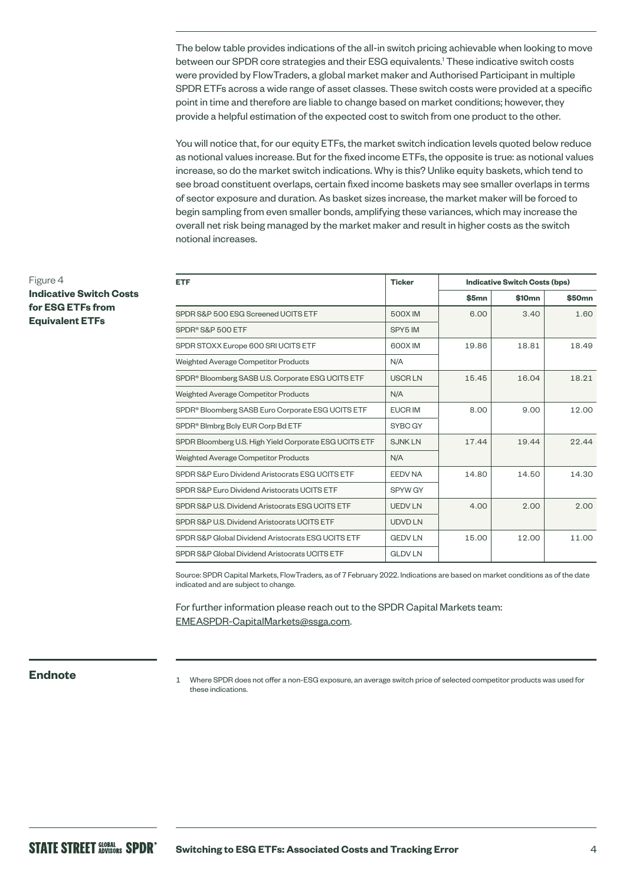The below table provides indications of the all-in switch pricing achievable when looking to move between our SPDR core strategies and their ESG equivalents.1 These indicative switch costs were provided by FlowTraders, a global market maker and Authorised Participant in multiple SPDR ETFs across a wide range of asset classes. These switch costs were provided at a specific point in time and therefore are liable to change based on market conditions; however, they provide a helpful estimation of the expected cost to switch from one product to the other.

You will notice that, for our equity ETFs, the market switch indication levels quoted below reduce as notional values increase. But for the fixed income ETFs, the opposite is true: as notional values increase, so do the market switch indications. Why is this? Unlike equity baskets, which tend to see broad constituent overlaps, certain fixed income baskets may see smaller overlaps in terms of sector exposure and duration. As basket sizes increase, the market maker will be forced to begin sampling from even smaller bonds, amplifying these variances, which may increase the overall net risk being managed by the market maker and result in higher costs as the switch notional increases.

| <b>ETF</b>                                                    | <b>Ticker</b>  | <b>Indicative Switch Costs (bps)</b> |                    |                    |
|---------------------------------------------------------------|----------------|--------------------------------------|--------------------|--------------------|
|                                                               |                | \$5mn                                | \$10 <sub>mn</sub> | \$50 <sub>mn</sub> |
| SPDR S&P 500 ESG Screened UCITS ETF                           | 500X IM        | 6.00                                 | 3.40               | 1.60               |
| SPDR <sup>®</sup> S&P 500 ETF                                 | SPY5 IM        |                                      |                    |                    |
| SPDR STOXX Europe 600 SRI UCITS ETF                           | 600X IM        | 19.86                                | 18.81              | 18.49              |
| Weighted Average Competitor Products                          | N/A            |                                      |                    |                    |
| SPDR <sup>®</sup> Bloomberg SASB U.S. Corporate ESG UCITS ETF | <b>USCRLN</b>  | 15.45                                | 16.04              | 18.21              |
| Weighted Average Competitor Products                          | N/A            |                                      |                    |                    |
| SPDR <sup>®</sup> Bloomberg SASB Euro Corporate ESG UCITS ETF | <b>EUCR IM</b> | 8.00                                 | 9.00               | 12.00              |
| SPDR <sup>®</sup> Blmbrg Bely EUR Corp Bd ETF                 | SYBC GY        |                                      |                    |                    |
| SPDR Bloomberg U.S. High Yield Corporate ESG UCITS ETF        | <b>SJNKLN</b>  | 17.44                                | 19.44              | 22.44              |
| Weighted Average Competitor Products                          | N/A            |                                      |                    |                    |
| SPDR S&P Euro Dividend Aristocrats ESG UCITS ETF              | <b>EEDV NA</b> | 14.80                                | 14.50              | 14.30              |
| SPDR S&P Euro Dividend Aristocrats UCITS ETF                  | SPYW GY        |                                      |                    |                    |
| SPDR S&P U.S. Dividend Aristocrats ESG UCITS ETF              | <b>UEDVLN</b>  | 4.00                                 | 2.00               | 2.00               |
| SPDR S&P U.S. Dividend Aristocrats UCITS ETF                  | <b>UDVD LN</b> |                                      |                    |                    |
| SPDR S&P Global Dividend Aristocrats ESG UCITS ETF            | <b>GEDVLN</b>  | 15.00                                | 12.00              | 11.00              |
| SPDR S&P Global Dividend Aristocrats UCITS ETF                | <b>GLDV LN</b> |                                      |                    |                    |

Source: SPDR Capital Markets, FlowTraders, as of 7 February 2022. Indications are based on market conditions as of the date indicated and are subject to change.

For further information please reach out to the SPDR Capital Markets team: [EMEASPDR-CapitalMarkets@ssga.com.](mailto:EMEASPDR-CapitalMarkets%40ssga.com?subject=)

**Endnote** 1 Where SPDR does not offer a non-ESG exposure, an average switch price of selected competitor products was used for these indications.

Figure 4 **Indicative Switch Costs for ESG ETFs from Equivalent ETFs**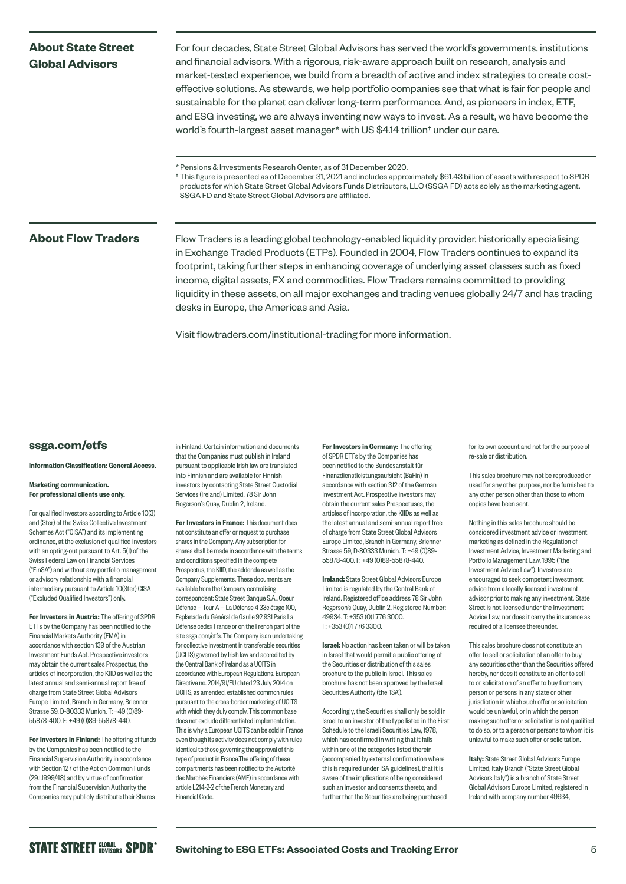## **About State Street Global Advisors**

For four decades, State Street Global Advisors has served the world's governments, institutions and financial advisors. With a rigorous, risk-aware approach built on research, analysis and market-tested experience, we build from a breadth of active and index strategies to create costeffective solutions. As stewards, we help portfolio companies see that what is fair for people and sustainable for the planet can deliver long-term performance. And, as pioneers in index, ETF, and ESG investing, we are always inventing new ways to invest. As a result, we have become the world's fourth-largest asset manager\* with US \$4.14 trillion† under our care.

\* Pensions & Investments Research Center, as of 31 December 2020.

† This figure is presented as of December 31, 2021 and includes approximately \$61.43 billion of assets with respect to SPDR products for which State Street Global Advisors Funds Distributors, LLC (SSGA FD) acts solely as the marketing agent. SSGA FD and State Street Global Advisors are affiliated.

About Flow Traders Flow Traders is a leading global technology-enabled liquidity provider, historically specialising in Exchange Traded Products (ETPs). Founded in 2004, Flow Traders continues to expand its footprint, taking further steps in enhancing coverage of underlying asset classes such as fixed income, digital assets, FX and commodities. Flow Traders remains committed to providing liquidity in these assets, on all major exchanges and trading venues globally 24/7 and has trading desks in Europe, the Americas and Asia.

Visit [flowtraders.com/institutional-trading](http://flowtraders.com/institutional-trading) for more information.

### **[ssga.com/etfs](http://ssga.com/etfs)**

### Information Classification: General Access.

### Marketing communication. For professional clients use only.

For qualified investors according to Article 10(3) and (3ter) of the Swiss Collective Investment Schemes Act ("CISA") and its implementing ordinance, at the exclusion of qualified investors with an opting-out pursuant to Art. 5(1) of the Swiss Federal Law on Financial Services ("FinSA") and without any portfolio management or advisory relationship with a financial intermediary pursuant to Article 10(3ter) CISA ("Excluded Qualified Investors") only.

For Investors in Austria: The offering of SPDR ETFs by the Company has been notified to the Financial Markets Authority (FMA) in accordance with section 139 of the Austrian Investment Funds Act. Prospective investors may obtain the current sales Prospectus, the articles of incorporation, the KIID as well as the latest annual and semi-annual report free of charge from State Street Global Advisors Europe Limited, Branch in Germany, Brienner Strasse 59, D-80333 Munich. T: +49 (0)89- 55878-400. F: +49 (0)89-55878-440.

For Investors in Finland: The offering of funds by the Companies has been notified to the Financial Supervision Authority in accordance with Section 127 of the Act on Common Funds (29.1.1999/48) and by virtue of confirmation from the Financial Supervision Authority the Companies may publicly distribute their Shares

in Finland. Certain information and documents that the Companies must publish in Ireland pursuant to applicable Irish law are translated into Finnish and are available for Finnish investors by contacting State Street Custodial Services (Ireland) Limited, 78 Sir John Rogerson's Quay, Dublin 2, Ireland.

For Investors in France: This document does not constitute an offer or request to purchase shares in the Company. Any subscription for shares shall be made in accordance with the terms and conditions specified in the complete Prospectus, the KIID, the addenda as well as the Company Supplements. These documents are available from the Company centralising correspondent: State Street Banque S.A., Coeur Défense — Tour A — La Défense 4 33e étage 100, Esplanade du Général de Gaulle 92 931 Paris La Défense cedex France or on the French part of the site [ssga.com/etfs.](http://ssga.com/etfs) The Company is an undertaking for collective investment in transferable securities (UCITS) governed by Irish law and accredited by the Central Bank of Ireland as a UCITS in accordance with European Regulations. European Directive no. 2014/91/EU dated 23 July 2014 on UCITS, as amended, established common rules pursuant to the cross-border marketing of UCITS with which they duly comply. This common base does not exclude differentiated implementation. This is why a European UCITS can be sold in France even though its activity does not comply with rules identical to those governing the approval of this type of product in France.The offering of these compartments has been notified to the Autorité des Marchés Financiers (AMF) in accordance with article L214-2-2 of the French Monetary and Financial Code.

For Investors in Germany: The offering of SPDR ETFs by the Companies has been notified to the Bundesanstalt für Finanzdienstleistungsaufsicht (BaFin) in accordance with section 312 of the German Investment Act. Prospective investors may obtain the current sales Prospectuses, the articles of incorporation, the KIIDs as well as the latest annual and semi-annual report free of charge from State Street Global Advisors Europe Limited, Branch in Germany, Brienner Strasse 59, D-80333 Munich. T: +49 (0)89- 55878-400. F: +49 (0)89-55878-440.

Ireland: State Street Global Advisors Europe Limited is regulated by the Central Bank of Ireland. Registered office address 78 Sir John Rogerson's Quay, Dublin 2. Registered Number: 49934. T: +353 (0)1 776 3000. F: +353 (0)1 776 3300.

Israel: No action has been taken or will be taken in Israel that would permit a public offering of the Securities or distribution of this sales brochure to the public in Israel. This sales brochure has not been approved by the Israel Securities Authority (the 'ISA').

Accordingly, the Securities shall only be sold in Israel to an investor of the type listed in the First Schedule to the Israeli Securities Law, 1978, which has confirmed in writing that it falls within one of the categories listed therein (accompanied by external confirmation where this is required under ISA guidelines), that it is aware of the implications of being considered such an investor and consents thereto, and further that the Securities are being purchased

for its own account and not for the purpose of re-sale or distribution.

This sales brochure may not be reproduced or used for any other purpose, nor be furnished to any other person other than those to whom copies have been sent.

Nothing in this sales brochure should be considered investment advice or investment marketing as defined in the Regulation of Investment Advice, Investment Marketing and Portfolio Management Law, 1995 ("the Investment Advice Law"). Investors are encouraged to seek competent investment advice from a locally licensed investment advisor prior to making any investment. State Street is not licensed under the Investment Advice Law, nor does it carry the insurance as required of a licensee thereunder.

This sales brochure does not constitute an offer to sell or solicitation of an offer to buy any securities other than the Securities offered hereby, nor does it constitute an offer to sell to or solicitation of an offer to buy from any person or persons in any state or other jurisdiction in which such offer or solicitation would be unlawful, or in which the person making such offer or solicitation is not qualified to do so, or to a person or persons to whom it is unlawful to make such offer or solicitation.

Italy: State Street Global Advisors Europe Limited, Italy Branch ("State Street Global Advisors Italy") is a branch of State Street Global Advisors Europe Limited, registered in Ireland with company number 49934,